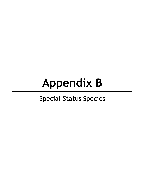# **Appendix B**

# Special-Status Species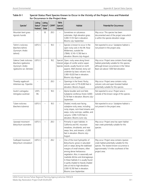# **Table B-1 Special-Status Plant Species Known to Occur in the Vicinity of the Project Area and Potential for Occurrence in the Project Area**

| Species <sup>1</sup>                                                                           | Listing<br>Status <sup>2</sup><br>Federal | Listing<br>Status <sup>2</sup><br><b>State</b> | CRPR <sup>2</sup> | <b>TRPA</b><br>Special<br>Interest | Habitat                                                                                                                                                                                                                                                                                                                                                                                                                            | <b>Potential for Occurrence</b>                                                                                                                                                                   |
|------------------------------------------------------------------------------------------------|-------------------------------------------|------------------------------------------------|-------------------|------------------------------------|------------------------------------------------------------------------------------------------------------------------------------------------------------------------------------------------------------------------------------------------------------------------------------------------------------------------------------------------------------------------------------------------------------------------------------|---------------------------------------------------------------------------------------------------------------------------------------------------------------------------------------------------|
| Mountain bent grass<br>Agrostis humilis                                                        |                                           | SE                                             | 2B.3              |                                    | Sometimes on calcareous<br>substrates. High elevation grass.<br>5,000-11,155 feet in elevation.<br>Blooms July-September.                                                                                                                                                                                                                                                                                                          | May occur. This species has been<br>documented west of the project area which<br>is within the species elevation range.                                                                           |
| Tiehm's rockcress<br>Boechera tiehmii<br>(Synonym: Arabis<br>tiehmii)                          | USFS-S                                    |                                                | 1B.3              |                                    | Species is known to occur in the<br>open rocky soils in the Mt. Rose<br>Wilderness, outside the<br>LTBMU. 9,745-11,780 feet in<br>elevation. Blooms July-August.                                                                                                                                                                                                                                                                   | Not expected to occur. Subalpine habitat is<br>not present in the project area.                                                                                                                   |
| Galena Creek rockcress<br>Boechera rigidissima<br>(Synonym: Arabis<br>rigidissima var. Demota) | USFS-S                                    |                                                | 1B.2              | Special                            | Open, rocky areas along forest<br>Interest edges of conifer and/or aspen<br>Species stands; usually found on north<br>aspects. Well-drained, stony soil<br>underlain by basic volcanic rock.<br>5,900-10,020 feet in elevation.<br>Blooms July-August.                                                                                                                                                                             | May occur. Project area contains forest edge<br>habitat potentially suitable for this species,<br>although known occurrences in the Tahoe<br>Basin are above 7,000 feet elevation.                |
| Threetip sagebrush<br>Artemisia ssp. Tripartita                                                |                                           |                                                | 2B.3              |                                    | Openings in the forest. Rocky,<br>volcanic soils. 6,770-8,000 feet in<br>elevation. Blooms August.                                                                                                                                                                                                                                                                                                                                 | May occur. Project area contains rocky<br>volcanic soils and open forested habitat<br>potentially suitable for this species.                                                                      |
| Austin's astragalus<br>Astragalus austiniae                                                    | USFS-<br>WL                               |                                                | 1B.3              |                                    | Alpine boulder and rock field,<br>Subalpine coniferous forest. 8,000-<br>9,730 feet in elevation. Blooms July-<br>September.                                                                                                                                                                                                                                                                                                       | Not expected to occur. Project area is<br>outside of the known range of this species.                                                                                                             |
| Tulare rockcress<br>Boechera tularensis                                                        | USFS-S                                    |                                                | 1B.3              | $\overline{\phantom{0}}$           | Shaded, mostly east-facing<br>subalpine rocky areas, including<br>rocky slopes, rock-lined streams and<br>seeps, rocky outcrops, saddles, and<br>canyons. 5,990-11,010 feet in<br>elevation. Blooms June-July.                                                                                                                                                                                                                     | Not expected to occur. Subalpine habitat is<br>not present in the project area.                                                                                                                   |
| Upswept moonwort<br>Botrychium ascendens                                                       | USFS-S                                    |                                                | 2B.3              |                                    | Primarily in open habitats. In<br>California and NV, mountain<br>meadows, shrublands, and near<br>seeps, fens, and streams. ≥5,000<br>feet in elevation. Blooms July-<br>August.                                                                                                                                                                                                                                                   | May occur. Project area has open habitat<br>near creek potentially suitable for this<br>species.                                                                                                  |
| Scalloped moonwort<br>Botrychium crenulatum                                                    | USFS-S                                    |                                                | 2B.2              |                                    | One of the most hydrophilic of<br>Botrychiums; grows in saturated<br>soils or seeps along the stabilized<br>margins of small streams, often<br>among dense herbaceous<br>vegetation. Also, in seasonally wet<br>roadside ditches and drainageways.<br>In these habitats it is usually found<br>in partly shaded to heavily shaded<br>sites at mid to high elevations.<br>2,000-10,760 feet in elevation.<br>Blooms June-September. | May occur. Project area contains riparian<br>creek habitat potentially suitable for this<br>species. The nearest known occurrence is<br>approximately 1.4 miles southwest of the<br>project area. |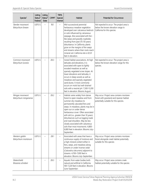| Species <sup>1</sup>                     | Listing<br>Status <sup>2</sup><br>Federal | Listing<br>Status <sup>2</sup><br><b>State</b> | CRPR <sup>2</sup> | <b>TRPA</b><br>Special<br>Interest | Habitat                                                                                                                                                                                                                                                                                                                                                                                                                                                                                    | <b>Potential for Occurrence</b>                                                                                                  |
|------------------------------------------|-------------------------------------------|------------------------------------------------|-------------------|------------------------------------|--------------------------------------------------------------------------------------------------------------------------------------------------------------------------------------------------------------------------------------------------------------------------------------------------------------------------------------------------------------------------------------------------------------------------------------------------------------------------------------------|----------------------------------------------------------------------------------------------------------------------------------|
| Slender moonwort<br>Botrychium lineare   | USFS-S                                    |                                                | 1B.1              |                                    | Mid-successional perennial<br>herbaceous meadow vegetation<br>developed over calcareous bedrock<br>or soils influenced by calcareous<br>seepage. Also associated with fen-<br>like seeps and gravelly roadsides<br>resulting from past (15-50 years)<br>disturbance. In California, plants<br>grow on the margins of fen seeps<br>and streams where their roots reach<br>mineral soil. California site is 8,531<br>feet in elevation.                                                      | Not expected to occur. The project area is<br>below the known elevation range in<br>California for this species.                 |
| Common moonwort<br>Botrychium lunaria    | USFS-S                                    |                                                | 2B.3              |                                    | Varied habitat associations. At high<br>latitudes and elevations, it is<br>associated with open to lightly<br>wooded meadows as well as<br>sparsely vegetated scree slopes. At<br>lower elevations and latitudes, it<br>occurs in deep woods as well as<br>meadows and sparsely vegetated<br>sand dunes. It most commonly<br>occurs on moist but well-drained<br>soils with a neutral pH. 7,500-11,200<br>feet in elevation. Blooms August.                                                | Not expected to occur. The project area is<br>below the known elevation range for this<br>species.                               |
| Mingan moonwort<br>Botrychium minganense | USFS-S                                    |                                                | 2B.2              |                                    | Habitat varies widely from dense<br>forest to open meadow and from<br>summer-dry meadows to<br>permanently saturated fens and<br>seeps. In meadows, plants may be in<br>open sun or under dense<br>herbaceous cover. Often associated<br>with old (i.e., greater than 10 years)<br>disturbances such as logging roads<br>and road shoulders. May be less<br>closely associated with calcareous<br>soils than most moonworts. 4,800-<br>6,800 feet in elevation. Blooms July-<br>September. | May occur. Project area contains montane<br>forest with grassland and riparian habitat<br>potentially suitable for this species. |
| Western goblin<br>Botrychium montanum    | USFS-S                                    |                                                | 2B.1              |                                    | Associated with areas that have a<br>continuous supply of moisture and<br>a high mineral content either in<br>fens, seeps, and meadows along<br>streams or under incense cedar<br>(Calocedrus decurrens) adjacent to<br>streams. 4,700-7,000 feet in<br>elevation. Blooms July-September.                                                                                                                                                                                                  | May occur. Project area contains montane<br>forest alongside creek habitat potentially<br>suitable for this species              |
| Watershield<br>Brasenia schreberi        |                                           |                                                | 2B.3              |                                    | Aquatic from water bodies both<br>natural and artificial in California.<br>100-7,220 feet in elevation. Blooms<br>June-September.                                                                                                                                                                                                                                                                                                                                                          | May occur. Project area contains creek<br>habitat potentially suitable for the species                                           |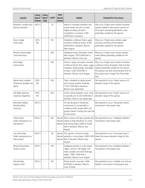| Species <sup>1</sup>                                                | Listing<br>Status <sup>2</sup><br>Federal | Listing<br>Status <sup>2</sup><br><b>State</b> | CRPR <sup>2</sup> | <b>TRPA</b><br>Special<br>Interest | Habitat                                                                                                                                                                           | <b>Potential for Occurrence</b>                                                                                                                                                                                                             |
|---------------------------------------------------------------------|-------------------------------------------|------------------------------------------------|-------------------|------------------------------------|-----------------------------------------------------------------------------------------------------------------------------------------------------------------------------------|---------------------------------------------------------------------------------------------------------------------------------------------------------------------------------------------------------------------------------------------|
| Bolander's candle moss<br>Bruchia bolanderi                         | USFS-S                                    |                                                | 4.2               |                                    | Mainly in montane meadows and<br>stream banks, but also on bare,<br>slightly eroding soil where<br>competition is minimal. 5,300-<br>10,950 feet in elevation.                    | May occur. Project area contains montane<br>riparian habitat in the western portion of<br>the project area alongside Meeks creek<br>potentially suitable for the species.                                                                   |
| Davy's sedge<br>Carex davyi                                         | USFS-<br>WL                               | $\equiv$                                       | 1B.3              |                                    | Subalpine coniferous forest, upper<br>montane coniferous forest. 4,790-<br>10,600 feet in elevation. Blooms<br>May-August.                                                        | May occur. Project area contains upper<br>montane coniferous forest habitat<br>potentially suitable for the species.                                                                                                                        |
| Woolly-fruited sedge<br>Carex lasiocarpa                            |                                           |                                                | 2B.3              |                                    | Sphagnum bogs, freshwater marsh,<br>lake margins. 1,970-6,900 feet in<br>elevation. Blooms June-July.                                                                             | May occur. Project area contains riparian<br>creek habitat potentially suitable for the<br>species.                                                                                                                                         |
| Mud sedge<br>Carex limosa                                           | -                                         | $\overline{\phantom{0}}$                       | 2B.2              | $\qquad \qquad -$                  | Grows in upper and lower montane<br>coniferous forest, fens, seeps, soggy<br>meadows, floating bogs, and edges<br>of lakes. 4,500-9,200 feet in<br>elevation. Blooms June-August. | May occur. Project area contains montane<br>coniferous forest alongside creek and lake<br>habitat potentially suitable for the species.<br>This species has been documented north of<br>the project area in Sugar Pine Point State<br>Park. |
| Alpine dusty maidens<br>Chaenactis douglasii var.<br>alpina         | USFS-<br>WL                               |                                                | 2B.3              |                                    | Open, subalpine to alpine gravel<br>and crevices; granitic substrate.<br>7,750-11,010 feet in elevation.<br>Blooms July-September.                                                | Not expected to occur. Project area out of<br>elevation range of this species.                                                                                                                                                              |
| Fell-fields claytonia<br>Claytonia megarhiza                        | USFS-<br>WL                               |                                                | 2B.3              | $\overline{\phantom{0}}$           | In the crevices between rocks, rocky<br>or gravelly soil. 8,530-10,940 feet in<br>elevation. Blooms July-September.                                                               | Not expected to occur. Project area out of<br>elevation range of this species.                                                                                                                                                              |
| Branched collybia<br>Dendrocollybia<br>racemosa                     | USFS-S                                    |                                                |                   |                                    | On old decayed or blackened<br>mushrooms or occasionally in<br>coniferous duff, usually within old<br>growth stands. Fruiting from late-fall<br>to mid-winter.                    | Not expected to occur. Old growth stands<br>not present in the project area.                                                                                                                                                                |
| Tahoe draba<br>Draba asterophora var.<br>asterophora <sup>3</sup>   | USFS-S                                    |                                                | 1B.2              |                                    | Interest slopes at high elevations on north-<br>Species east facing slopes. 8,000 to 10,200<br>feet in elevation. Blooms July-<br>August.                                         | Special Rock crevices and open granite talus Not expected to occur. Subalpine habitat is<br>not present in the project area.                                                                                                                |
| Cup Lake draba<br>Draba asterophora var.<br>Macrocarpa <sup>3</sup> | USFS-S                                    |                                                | 1B.1              | Special                            | This species is found on steep,<br>Interest gravelly or rocky slopes. 8,400-9,300<br>Species   feet in elevation. Blooms July-<br>August.                                         | Not expected to occur. The project area is<br>below the known elevation range for this<br>species.                                                                                                                                          |
| Mineral King draba<br>Draba cruciata                                | UFSF-S                                    |                                                | 1B.3              | $\qquad \qquad -$                  | Subalpine gravelly or rocky slopes,<br>ridges, crevices, cliff ledges, sink<br>holes, boulder and small drainage<br>edges. 7,800-13,000 feet in<br>elevation. Blooms June-August. | Not expected to occur. Subalpine habitat is<br>not present in the project area.                                                                                                                                                             |
| Starved daisy<br>Erigeron miser                                     | USFS-S                                    |                                                | 1B.3              |                                    | Rocky, granitic outcrops. 5,600-<br>8,100 feet in elevation. Blooms<br>June-October.                                                                                              | Not expected to occur. Suitable rock outcrop<br>habitat is not present in the project area.                                                                                                                                                 |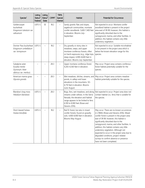| Species <sup>1</sup>                                                            | Listing<br>Status <sup>2</sup><br>Federal | Listing<br>Status <sup>2</sup><br><b>State</b> | CRPR <sup>2</sup> | <b>TRPA</b><br>Special<br>Interest | Habitat                                                                                                                                                                                                              | <b>Potential for Occurrence</b>                                                                                                                                                                                                                                                                                                                                                                                                                                                                                            |
|---------------------------------------------------------------------------------|-------------------------------------------|------------------------------------------------|-------------------|------------------------------------|----------------------------------------------------------------------------------------------------------------------------------------------------------------------------------------------------------------------|----------------------------------------------------------------------------------------------------------------------------------------------------------------------------------------------------------------------------------------------------------------------------------------------------------------------------------------------------------------------------------------------------------------------------------------------------------------------------------------------------------------------------|
| Goldencarpet<br>buckwheat<br>Eriogonum luteolum var.<br>saltuarium              | USFS-S                                    | <b>SE</b>                                      | 1B.2              |                                    | Sandy granitic flats and slopes,<br>sagebrush communities, montane<br>conifer woodlands. 5,600-7,400 feet<br>in elevation. Blooms July-<br>September.                                                                | Not expected to occur. Montane conifer<br>woodland habitat is present in the project<br>area east of SR 89; however, this habitat is<br>significantly disturbed due to the<br>campground, marina, and other facilities. In<br>addition, this habitat contains very little<br>understory vegetation.                                                                                                                                                                                                                        |
| Donner Pass buckwheat<br>Eriogonum umbellatum<br>var. torreyanum                | USFS-S                                    | $\overline{\phantom{0}}$                       | 1B.2              |                                    | Dry gravelly or stony sites in<br>meadows, seeps, and upper<br>montane coniferous forests; often<br>on harsh exposures (e.g., ridge tops,<br>steep slopes). 6,900-8,600 feet in<br>elevation. Blooms July-September. | Not expected to occur. Suitable microhabitat<br>is not present in the project area which is<br>below the known elevation range for this<br>species.                                                                                                                                                                                                                                                                                                                                                                        |
| Subalpine aster<br>Eurybia merita<br>(Synonym: Aster<br>sibiricus var. meritus) |                                           |                                                | 2B.3              |                                    | Upper montane coniferous forest.<br>4,265-6,560 feet in elevation.                                                                                                                                                   | May occur. Project area contains coniferous<br>forest habitat potentially suitable for the<br>species.                                                                                                                                                                                                                                                                                                                                                                                                                     |
| American manna grass<br>Glyceria grandis                                        |                                           |                                                | 2B.3              | $\overline{\phantom{0}}$           | Wet meadows, ditches, streams, and<br>ponds, in valleys and lower<br>elevations in the mountains. 50-<br>6,710 feet in elevation. Blooms<br>June-August.                                                             | May occur. Project area contains meadow<br>habitat potentially suitable for the species.                                                                                                                                                                                                                                                                                                                                                                                                                                   |
| Blandow's bog moss<br>Helodium blandowii                                        | USFS-S                                    |                                                | 2B.3              |                                    | Bogs, fens, wet meadows, and along<br>streams under willows. In the Sierra<br>Nevada, the elevation and habitat<br>range appears to be limited to fens.<br>6,100 to 8,900 feet (Rowe and<br>Stevens 2016).           | Not expected to occur. Project area does not<br>contain habitat (i.e., fens) that is suitable for<br>the species.                                                                                                                                                                                                                                                                                                                                                                                                          |
| Short-leaved hulsea<br>Hulsea brevifolia                                        | USFS-S                                    |                                                | 1B.2              | ÷                                  | Red fir forest, but also in mixed<br>conifer forests; found on gravelly<br>soils. 4,900-8,900 feet in elevation.<br>Blooms May-August.                                                                               | May occur. There are no known occurrences<br>in LTBMU (Rowe and Stevens 2016). Mixed<br>conifer forest is present in the project area<br>east of SR 89; however, this habitat is<br>significantly disturbed due to the<br>campground, marina, and other facilities. In<br>addition, this habitat contains very little<br>understory vegetation. Although not<br>expected to occur in the project area due to<br>degraded conditions, project-related<br>surveys to confirm absence or presence<br>have not been completed. |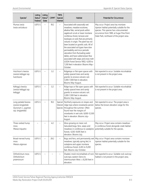| Species <sup>1</sup>                                                                    | Listing<br>Status <sup>2</sup><br>Federal | Listing<br>Status <sup>2</sup><br><b>State</b> | CRPR <sup>2</sup> | <b>TRPA</b><br>Special<br>Interest | Habitat                                                                                                                                                                                                                                                                                                                                                                                                                                                                                                                                                                                       | <b>Potential for Occurrence</b>                                                                                                                                                                                           |
|-----------------------------------------------------------------------------------------|-------------------------------------------|------------------------------------------------|-------------------|------------------------------------|-----------------------------------------------------------------------------------------------------------------------------------------------------------------------------------------------------------------------------------------------------------------------------------------------------------------------------------------------------------------------------------------------------------------------------------------------------------------------------------------------------------------------------------------------------------------------------------------------|---------------------------------------------------------------------------------------------------------------------------------------------------------------------------------------------------------------------------|
| Plumas ivesia<br>Ivesia sericoleuca                                                     | USFS-S                                    | $\overline{\phantom{0}}$                       | 1B.2              |                                    | Associated with seasonally wet<br>meadows, meadow ecotones,<br>alkaline flats, vernal pools within<br>sagebrush scrub or lower montane<br>coniferous forest, terraces and<br>toeslopes on soils that are primarily<br>volcanic in origin. The plant has not<br>been located on granitic soils. All of<br>the associated soil types have slow<br>permeability and incur periodic<br>saturation from fluctuating water<br>tables, and have subterranean flow<br>associated with seeps and snow melt<br>(USDA Forest Service 1992). 4,200 to<br>7,200 feet in elevation. Blooms May-<br>October. | May occur. Project area has montane<br>riparian habitat potentially suitable for the<br>species. This species has a documented<br>occurrence from 1989, at Sugar Pine Point<br>State Park, northwest of the project area. |
| Hutchison's lewisia<br>Lewisia kelloggii ssp.<br>hutchisonii                            | USFS-S                                    |                                                | 3.2               |                                    | Ridgetops or flat open spaces with<br>widely spaced trees and sandy<br>granitic to erosive volcanic soil.<br>5,000-7,000 feet in elevation.<br>Blooms May-August.                                                                                                                                                                                                                                                                                                                                                                                                                             | Not expected to occur. Suitable microhabitat<br>is not present in the project area.                                                                                                                                       |
| Kellogg's lewisia<br>Lewisia kelloggii ssp.<br>kelloggii                                | USFS-S                                    |                                                | 3.2               |                                    | Ridge tops or flat open spaces with<br>widely spaced trees and sandy<br>granitic to erosive volcanic soil.<br>5,000-7,000 feet in elevation.<br>Blooms May-August.                                                                                                                                                                                                                                                                                                                                                                                                                            | Not expected to occur. Suitable microhabitat<br>is not present in the project area.                                                                                                                                       |
| Long-petaled lewisia<br>Lewisia longipetala<br>(Synonym: L. pygmea<br>ssp. longipetala) | USFS-S                                    |                                                | 1B.3              | Special                            | Northerly exposures on slopes and<br>Interest ridge tops where snowbanks persist<br>Species throughout the summer. Often<br>found near the margins of<br>snowbanks in wet soils. 8,000-12,500<br>feet in elevation. Blooms July-<br>August.                                                                                                                                                                                                                                                                                                                                                   | Not expected to occur. The project area is<br>below the known elevation range for this<br>species.                                                                                                                        |
| Three-ranked hump<br>moss<br>Meesia triquetra                                           |                                           |                                                | 4.2               |                                    | Moss growing on mesic soil.<br>Saturated bogs, fens, seeps and<br>meadows in coniferous to subalpine<br>forests. 4,265-9,695 feet in<br>elevation. Blooms July.                                                                                                                                                                                                                                                                                                                                                                                                                               | May occur. Project area contains meadows<br>in coniferous forest alongside creek habitat<br>potentially suitable for the species.                                                                                         |
| Broad-nerved hump<br>moss<br>Meesia uliginosa                                           | USFS-S                                    |                                                | 2B.2              |                                    | Bogs and fens, and permanently wet<br>meadows, typically spring fed, in<br>subalpine and upper montane<br>coniferous forest; 4,265 to 9,200<br>feet. Blooms July-October.                                                                                                                                                                                                                                                                                                                                                                                                                     | May occur. Project area contains montane<br>riparian habitat potentially suitable for the<br>species.                                                                                                                     |
| Orthotrichum moss<br>Orthotrichum<br>praemorsum                                         | USFS-S                                    |                                                |                   |                                    | Shaded, moist microhabitats of rock<br>outcrops; eastern Sierra to<br>intermountain West. $\leq$ 8,200 feet in<br>elevation.                                                                                                                                                                                                                                                                                                                                                                                                                                                                  | Not expected to occur. Suitable rock outcrop<br>habitat is not present in the project area.                                                                                                                               |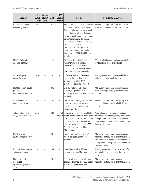| Species <sup>1</sup>                                                | Listing<br>Status <sup>2</sup><br>Federal | Listing<br>Status <sup>2</sup><br><b>State</b> | CRPR <sup>2</sup> | <b>TRPA</b><br>Special<br>Interest | Habitat                                                                                                                                                                                                                                                                                                                                                                                                              | <b>Potential for Occurrence</b>                                                                                                                                                                        |
|---------------------------------------------------------------------|-------------------------------------------|------------------------------------------------|-------------------|------------------------------------|----------------------------------------------------------------------------------------------------------------------------------------------------------------------------------------------------------------------------------------------------------------------------------------------------------------------------------------------------------------------------------------------------------------------|--------------------------------------------------------------------------------------------------------------------------------------------------------------------------------------------------------|
| Western waterfan lichen<br>Peltigera gowardii                       | USFS-S                                    | $\overline{\phantom{0}}$                       | 4.2               |                                    | Aquatic. Must be in cool, unpolluted<br>water that flows all year. Can be<br>found in splash zones within small<br>creeks. Cannot tolerate drying or<br>heavy flows of water that can scour.<br>Streams are usually less than 8<br>inches deep and often have many<br>other aquatic mosses and<br>bryophytes. It often grows on<br>bedrock or cobbles but can be<br>found on soil. 3,500-8,500 feet in<br>elevation. | May occur. Project area contains stream<br>habitat that may be suitable for this species.                                                                                                              |
| Stebbins' phacelia<br>Phacelia stebbinsii                           |                                           |                                                | 1B.2              |                                    | Among rocks and rubble on<br>metamorphic rock benches,<br>meadows, and lower montane<br>coniferous forest. 2,000-6,595 feet<br>in elevation. Blooms May-July.                                                                                                                                                                                                                                                        | Not expected to occur. Suitable microhabitat<br>is not present in the project area.                                                                                                                    |
| Whitebark pine<br>Pinus albicaulis                                  | USFS-S<br>FP                              |                                                |                   |                                    | Subalpine and at timberline on<br>rocky, well-drained granitic or<br>volcanic soils. 6,600-12,140 in<br>elevation. Blooms July-August                                                                                                                                                                                                                                                                                | Not expected to occur. Subalpine habitat is<br>not present in the analysis area.                                                                                                                       |
| Nuttall's ribbon-leaved<br>pondweed<br>Potamogeton epihydrus        | $\overline{\phantom{0}}$                  |                                                | 2B.2              | $\overline{\phantom{0}}$           | Shallow water, ponds, lakes,<br>streams, irrigation ditches. 970-<br>8,660 feet in elevation. Blooms July-<br>September.                                                                                                                                                                                                                                                                                             | May occur. Project area contains riparian<br>creek habitat potentially suitable for the<br>species.                                                                                                    |
| Alder buckthorn<br>Rhamnus alnifolia                                |                                           |                                                | 2B.2              |                                    | Mesic sites including wet meadow<br>edges, seeps and stream sides.<br>4,690-7,005 feet in elevation.<br>Blooms May-July.                                                                                                                                                                                                                                                                                             | May occur. Project area contains riparian<br>creek habitat potentially suitable for the<br>species.                                                                                                    |
| Tahoe yellow cress<br>Rorippa subumbellata                          | USFS-S                                    | SE                                             | 1B.1              | Special                            | Endemic to the shorezone of Lake<br>Interest Tahoe, typically in back beach areas.<br>Species Can be present on lakeside margins<br>and in riparian communities on<br>decomposed granite sand. 6,220-<br>6,235 feet in elevation. Blooms<br>May-September.                                                                                                                                                           | Known to occur. This species has been<br>documented in the Meeks Bay beach area,<br>along the shore of Meeks Creek/Marina<br>area, and on a sandbar within Meeks Creek<br>in the project area.         |
| Marsh skullcap<br>Scutellaria galericulata                          |                                           |                                                | 2B.2              |                                    | Swamps and wet places. 0-6,400<br>feet in elevation. Blooms June-<br>September.                                                                                                                                                                                                                                                                                                                                      | May occur. Project area contains riparian<br>habitat potentially suitable for the species.<br>This species has been documented in the<br>west portion of the project area and north<br>of Meeks Creek. |
| Munro's desert mallow<br>Sphaeralcea munroana                       |                                           |                                                | 2B.2              |                                    | Great Basin scrub. 6,560 feet in<br>elevation. Blooms May-June.                                                                                                                                                                                                                                                                                                                                                      | Not expected to occur. Habitat suitable for<br>this species is not present in the project<br>area.                                                                                                     |
| Northern slender<br>pondweed<br>Stuckenia filiformis ssp.<br>Alpina |                                           |                                                | 2B.2              |                                    | Shallow, clear waters of lakes and<br>drainage channels. 15-7,630 feet in<br>elevation. Blooms May-July.                                                                                                                                                                                                                                                                                                             | May occur. Project area contains creek<br>habitat potentially suitable for the species.                                                                                                                |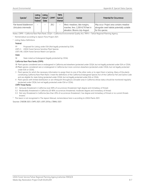| Species <sup>1</sup>                              | Listing<br>Federal I | Listing<br>Status <sup>2</sup>   Status <sup>2</sup>  <br><b>State</b> | CRPR <sup>2</sup> | trpa<br>Special<br>Interest | Habitat                                                                                              | <b>Potential for Occurrence</b>                                                                              |
|---------------------------------------------------|----------------------|------------------------------------------------------------------------|-------------------|-----------------------------|------------------------------------------------------------------------------------------------------|--------------------------------------------------------------------------------------------------------------|
| Flat-leaved bladderwort<br>Utricularia intermedia |                      |                                                                        | 2B.2              |                             | Mesic meadows, lake margins,<br>marshes, fens. 2,200-8,710 feet in<br>elevation. Blooms July-August. | May occur. Project area contains meadow<br>alongside creek habitat potentially suitable<br>for this species. |

Notes: CRPR = California Rare Plant Rank; CEQA = California Environmental Quality Act; TRPA = Tahoe Regional Planning Agency

<sup>1</sup> Nomenclature according to Jepson Flora Project 2021.

<sup>2</sup> Listing Status Definitions

### Federal:

FP Proposed for Listing under ESA (Not legally protected by ESA)

USFS-S USDA Forest Service Sensitive Plant Species

USFS-WL USDA Forest Service Watch List Species

#### State:

SE State Listed as Endangered (legally protected by CESA)

#### California Rare Plant Ranks (CRPR):

1B Plant species considered rare or endangered in California and elsewhere (protected under CEQA, but not legally protected under ESA or CESA).

- 2B Plant species considered rare or endangered in California but more common elsewhere (protected under CEQA, but not legally protected under ESA or CESA).
- 3 Plant species for which the necessary information to assign them to one of the other ranks or to reject them is lacking. Many of the plants constituting California Rare Plant Rank 3 meet the definitions of the California Endangered Species Act of the California Fish and Game Code and are eligible for state listing (protected under CEQA, but not legally protected under ESA or CESA).
- 4 Plant species with limited distribution or are infrequent throughout a broader area in California whose status should be monitored regularly (protected under CEQA, but not legally protected under ESA or CESA).

#### CRPR Threat Ranks:

- 0.1 Seriously threatened in California (over 80% of occurrences threatened; high degree and immediacy of threat)
- 0.2 Moderately threatened in California (20-80% occurrences threatened; moderate degree and immediacy of threat)
- 0.3 Not very threatened in California (less than 20% of occurrences threatened / low degree and immediacy of threat or no current threats known)
- <sup>3</sup> This taxon is not recognized in The Jepson Manual, nomenclature here is according to USDA Plants 2021.

Sources: CNDDB 2021; CNPS 2021; USFS 2013a; LTBMU 2021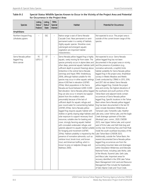## **Table B-2 Special-Status Wildlife Species Known to Occur in the Vicinity of the Project Area and Potential for Occurrence in the Project Area**

| <b>Species</b>                                       | Listing<br>Status <sup>1</sup><br>Federal | Listing<br>Status <sup>1</sup><br>State | <b>TRPA</b><br>Special<br>Interest | Habitat                                                                                                                                                                                                                                                                                                                                                                                                                                                                                                                                                                                                                                                                                                                                                                                                                                                                                                                                                                                                                                                                                                                                                                                                                                                                                                                                                                                                          | Potential for Occurrence                                                                                                                                                                                                                                                                                                                                                                                                                                                                                                                                                                                                                                                                                                                                                                                                                                                                                                                                                                                                                                                                                                                                                                                                                                                                                                                                                                                                                                                                                                                                                                                                                                                                                                                                                                                                  |
|------------------------------------------------------|-------------------------------------------|-----------------------------------------|------------------------------------|------------------------------------------------------------------------------------------------------------------------------------------------------------------------------------------------------------------------------------------------------------------------------------------------------------------------------------------------------------------------------------------------------------------------------------------------------------------------------------------------------------------------------------------------------------------------------------------------------------------------------------------------------------------------------------------------------------------------------------------------------------------------------------------------------------------------------------------------------------------------------------------------------------------------------------------------------------------------------------------------------------------------------------------------------------------------------------------------------------------------------------------------------------------------------------------------------------------------------------------------------------------------------------------------------------------------------------------------------------------------------------------------------------------|---------------------------------------------------------------------------------------------------------------------------------------------------------------------------------------------------------------------------------------------------------------------------------------------------------------------------------------------------------------------------------------------------------------------------------------------------------------------------------------------------------------------------------------------------------------------------------------------------------------------------------------------------------------------------------------------------------------------------------------------------------------------------------------------------------------------------------------------------------------------------------------------------------------------------------------------------------------------------------------------------------------------------------------------------------------------------------------------------------------------------------------------------------------------------------------------------------------------------------------------------------------------------------------------------------------------------------------------------------------------------------------------------------------------------------------------------------------------------------------------------------------------------------------------------------------------------------------------------------------------------------------------------------------------------------------------------------------------------------------------------------------------------------------------------------------------------|
| Amphibians                                           |                                           |                                         |                                    |                                                                                                                                                                                                                                                                                                                                                                                                                                                                                                                                                                                                                                                                                                                                                                                                                                                                                                                                                                                                                                                                                                                                                                                                                                                                                                                                                                                                                  |                                                                                                                                                                                                                                                                                                                                                                                                                                                                                                                                                                                                                                                                                                                                                                                                                                                                                                                                                                                                                                                                                                                                                                                                                                                                                                                                                                                                                                                                                                                                                                                                                                                                                                                                                                                                                           |
| Northern leopard frog<br>Lithobates pipiens          |                                           | SSC                                     |                                    | Native range is east of Sierra Nevada-<br>Cascade Crest. Near permanent or semi-<br>permanent water in a variety of habitats.<br>Highly aquatic species. Shoreline cover,<br>submerged and emergent aquatic<br>vegetation are important habitat<br>characteristics.                                                                                                                                                                                                                                                                                                                                                                                                                                                                                                                                                                                                                                                                                                                                                                                                                                                                                                                                                                                                                                                                                                                                              | Not expected to occur. The project area is<br>outside of the current known range of this<br>species.                                                                                                                                                                                                                                                                                                                                                                                                                                                                                                                                                                                                                                                                                                                                                                                                                                                                                                                                                                                                                                                                                                                                                                                                                                                                                                                                                                                                                                                                                                                                                                                                                                                                                                                      |
| Sierra Nevada yellow-<br>legged frog<br>Rana sierrae | FE<br>USFS-S                              | <b>ST</b>                               |                                    | Sierra Nevada yellow-legged frog is highly<br>aquatic, rarely moving far from water. The<br>species primarily occurs in alpine lakes and<br>other deep, perennial aquatic habitats (with<br>sufficient depth to prevent freezing) above<br>timberline in the central Sierra Nevada<br>(Jennings and Hayes 1994, Vredenburg<br>2004), although habitat suitable for the<br>species may occur in other aquatic settings<br>above 4,500 feet in elevation (USFWS<br>2014a). Most populations in the Sierra<br>Nevada are found between 6,000-12,000<br>feet elevation. Sierra Nevada yellow-legged<br>frog can also occur in streams but appear<br>absent from the smallest creeks<br>presumably because of the lack of<br>sufficient depth for aquatic refugia and<br>year-round water for overwintering habitat<br>(USFWS 2014a). Sierra Nevada yellow-<br>legged frog requires aquatic habitat with<br>shallow or gently sloping edge habitats and<br>solar exposure to support necessary food<br>resources; suitable sites for basking and<br>cover, strongly favoring aquatic habitat<br>with concealed underwater refugia; and<br>for foraging and movement (USFWS<br>2014a). Habitat suitability is impaired by the<br>presence of nonnative salmonids, such as<br>rainbow trout, brook trout, and brown<br>trout, and American bullfrog, which is<br>known to prey on tadpoles (Knapp and<br>Mathews 2000). | Not expected to occur. Sierra Nevada<br>yellow-legged frog has not been<br>documented in the project area or vicinity,<br>and the presence of predators (e.g.,<br>nonnative salmonids, ccrayfish) limits<br>habitat suitability for Sierra Nevada yellow-<br>legged frog in the project area. Amphibian<br>surveys in Meeks Meadow and Meeks<br>Creek conducted by LTBMU in 2013, 2016,<br>and 2017 did not detect Sierra Nevada<br>yellow-legged frog. Outside the project<br>area and vicinity, the highest elevations of<br>the southwest and south portions of the<br>Tahoe Basin and adjacent lands contain<br>occurrences of Sierra Nevada yellow-<br>legged frog. Specific locations in the Tahoe<br>Basin where Sierra Nevada yellow-legged<br>frog has been documented in the last 50<br>years include Desolation Wilderness at<br>Tamarack Lake, Fontanillis Lake, Heather<br>Lake area, Lower Velma Lake, and the Eagle<br>Creek drainage upstream of the lake<br>(Muskopf, pers. comm., 2020; CNDDB<br>2021), near Upper Velma Lake, and a pond<br>west of Echo Lake; and Hell Hole bog and<br>uplands adjacent to aquatic habitat suitable vicinity near Armstrong Pass and Freel Peak<br>inside the south-southeast boundary of the<br>Lake Tahoe Basin (CNDDB 2021).<br>Additionally, outside the Tahoe Basin, the<br>nearest documented Sierra Nevada yellow-<br>legged frog occurrences are from the<br>surrounding mountain lakes and drainages<br>within Desolation Wilderness and Eldorado<br>National Forest, including Lake Aloha, Lake<br>of the Woods, Pyramid Lake, Gefo Lake,<br>and Waca Lake. Important areas for<br>recovery identified in the 2016 Lake Tahoe<br>Basin Management Unit Land and Resource<br>Management Plan include the headwaters<br>of Glen Alpine Creek and Trout Creek. |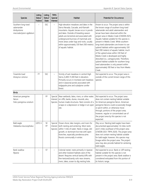| Species                                                                   | Listing<br>Status <sup>1</sup><br>Federal | Listing<br>Status <sup>1</sup><br><b>State</b> | <b>TRPA</b><br>Special<br>Interest | Habitat                                                                                                                                                                                                                                                                                                                                                                   | <b>Potential for Occurrence</b>                                                                                                                                                                                                                                                                                                                                                                                                                                                                                                                                                                                                                                                                                              |
|---------------------------------------------------------------------------|-------------------------------------------|------------------------------------------------|------------------------------------|---------------------------------------------------------------------------------------------------------------------------------------------------------------------------------------------------------------------------------------------------------------------------------------------------------------------------------------------------------------------------|------------------------------------------------------------------------------------------------------------------------------------------------------------------------------------------------------------------------------------------------------------------------------------------------------------------------------------------------------------------------------------------------------------------------------------------------------------------------------------------------------------------------------------------------------------------------------------------------------------------------------------------------------------------------------------------------------------------------------|
| Southern long-toed<br>salamander<br>Ambystoma<br>macrodactylum sigillatum |                                           | SSC                                            | $\overline{\phantom{0}}$           | High elevation meadows and lakes in the<br>Sierra Nevada, Cascade, and Klamath<br>mountains. Aquatic larvae occur in ponds<br>and lakes. Outside of breeding season<br>adults are terrestrial and associated with<br>underground burrows of mammals and<br>moist areas under logs and rocks, usually<br>within approximately 330 feet (100 meters)<br>of aquatic habitat. | Known to occur. The project area is within<br>the known range of southern long-toed<br>salamander and adult salamanders and<br>larvae have been observed within the<br>project area in Meeks Creek (CNDDB 2021).<br>Aquatic habitat suitable for this species is<br>present in Meeks Creek. While southern<br>long-toed salamanders are known to use<br>upland habitats within approximately 330<br>feet (100 meters) of aquatic habitat, much<br>of the upland areas within 330 feet of<br>Meeks Creek is developed and highly<br>disturbed (i.e., campgrounds). Therefore,<br>upland habitat suitable for southern long-<br>toed salamanders is only present within<br>approximately 100 feet or less from Meeks<br>Creek. |
| Yosemite toad<br>Anaxyrus canorus                                         | FT.                                       | SSC                                            |                                    | Vicinity of wet meadows in central High<br>Sierra, 6,400-11,300 feet in elevation.<br>Primarily occurs in montane wet meadows<br>and in seasonal ponds associated with<br>lodgepole pine and subalpine conifer<br>forest.                                                                                                                                                 | Not expected to occur. The project area is<br>outside of the current known range of this<br>species.                                                                                                                                                                                                                                                                                                                                                                                                                                                                                                                                                                                                                         |
| <b>Birds</b>                                                              |                                           |                                                |                                    |                                                                                                                                                                                                                                                                                                                                                                           |                                                                                                                                                                                                                                                                                                                                                                                                                                                                                                                                                                                                                                                                                                                              |
| American peregrine<br>falcon<br>Falco peregrinus anatum                   |                                           | <b>FP</b>                                      | Species                            | Special Near wetlands, lakes, rivers, or other water;<br>Interest on cliffs, banks, dunes, mounds; also,<br>human-made structures. Nest consists of a<br>scrape or a depression or ledge in an open<br>site.                                                                                                                                                              | Not expected to occur. The project area<br>does not contain nesting habitat suitable<br>for American peregrine falcon. American<br>peregrine falcons could occasionally forage<br>or perch within, or otherwise move<br>through, portions of the project area;<br>however, regular or concentrated use of<br>the project area by this species is not<br>expected.                                                                                                                                                                                                                                                                                                                                                            |
| Bald eagle<br>Haliaeetus leucocephalus                                    | USFS-S                                    | SE<br>FP                                       | Special                            | Ocean shore, lake margins, and rivers for<br>Interest both nesting and wintering. Most nests<br>Species within 1 mile of water. Nests in large, old-<br>growth, or dominant live tree with open<br>branches, especially ponderosa pine.<br>Roosts communally in winter.                                                                                                   | May occur. Nesting bald eagles have been<br>documented approximately 1.6 miles north<br>and 5 miles southeast of the project area<br>(CNDDB 2021; TRPA 2020). The project area<br>does not contain nesting habitat suitable<br>for bald eagle; however, this species may<br>forage within the project area. The project<br>area may also provide habitat for wintering<br>bald eagles.                                                                                                                                                                                                                                                                                                                                       |
| Bank swallow<br>Riparia                                                   |                                           | <b>ST</b>                                      |                                    | Colonial nester; nests primarily in riparian<br>and other lowland habitats west of the<br>desert. Requires vertical banks/cliffs with<br>fine-textured/sandy soils near streams,<br>rivers, lakes, ocean to dig nesting hole.                                                                                                                                             | Not expected to occur. Bank or cliff nesting<br>habitat suitable for this species is not<br>present in the project area. Bank swallow is<br>considered extirpated from this portion of<br>its historic range.                                                                                                                                                                                                                                                                                                                                                                                                                                                                                                                |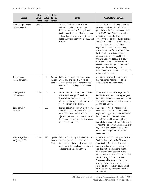| <b>Species</b>                               | Listing<br>Status <sup>1</sup><br>Federal | Listing<br>Status <sup>1</sup><br>State | <b>TRPA</b><br>Special<br>Interest | Habitat                                                                                                                                                                                                                                                              | Potential for Occurrence                                                                                                                                                                                                                                                                                                                                                                                                                                                                                                                                                                                                                                                                                                                                                                  |
|----------------------------------------------|-------------------------------------------|-----------------------------------------|------------------------------------|----------------------------------------------------------------------------------------------------------------------------------------------------------------------------------------------------------------------------------------------------------------------|-------------------------------------------------------------------------------------------------------------------------------------------------------------------------------------------------------------------------------------------------------------------------------------------------------------------------------------------------------------------------------------------------------------------------------------------------------------------------------------------------------------------------------------------------------------------------------------------------------------------------------------------------------------------------------------------------------------------------------------------------------------------------------------------|
| California spotted owl<br>Strix occidentalis | USFS-S                                    | SSC                                     | $\equiv$                           | Mixed conifer forest, often with an<br>understory of black oaks and other<br>deciduous hardwoods. Canopy closure<br>greater than 40 percent. Most often found<br>in deep-shaded canyons, on north-facing<br>slopes, and within approximately 1,000 feet<br>of water. | Not expected to occur (). There have been<br>no documented detections of California<br>spotted owl in the project area and there<br>are no USDA Forest Service-designated<br>spotted owl Protected Activity Centers<br>(PACs) in the project area. Habitat suitable<br>for California spotted owl is not present in<br>the project area. Forest habitat in the<br>project area does not provide nesting<br>habitat suitable for California spotted owl<br>due to development, intensive summer<br>recreation uses, and marginal forest<br>structure. California spotted owls could<br>occasionally forage or perch within, or<br>otherwise move through, portions of the<br>project area; however, regular or<br>concentrated use of the project area by this<br>species is not expected. |
| Golden eagle<br>Aquila chrysaetos            |                                           | <b>FP</b>                               | Special<br>Interest<br>Species     | Rolling foothills, mountain areas, sage-<br>juniper flats, and desert. Cliff-walled<br>canyons provide nesting habitat in most<br>parts of range; also, large trees in open<br>areas.                                                                                | Not expected to occur. The project area<br>does not contain nesting or foraging<br>habitat suitable for golden eagle.                                                                                                                                                                                                                                                                                                                                                                                                                                                                                                                                                                                                                                                                     |
| Great gray owl<br>Strix nebulosa             | USFS-S                                    | <b>SE</b>                               |                                    | Resident of mixed conifer or red fir forest<br>habitat, in or on edge of meadows.<br>Requires large diameter snags in a forest<br>with high canopy closure, which provide a<br>cool sub-canopy microclimate.                                                         | Not expected to occur. The project area is<br>outside of the current range of great gray<br>owl. Project implementation would have no<br>effect on great gray owl, and this species is<br>not analyzed further.                                                                                                                                                                                                                                                                                                                                                                                                                                                                                                                                                                           |
| Long-eared owl<br>Asio otus                  |                                           | SSC                                     |                                    | Riparian bottomlands grown to tall willows<br>and cottonwoods; also, belts of live oak<br>paralleling stream courses. Require<br>adjacent open land productive of mice and<br>the presence of old nests of crows, hawks,<br>or magpies for breeding.                 | May occur. Most of the nesting habitat<br>potentially suitable for this species in the<br>project area (e.g., forest) is characterized by<br>development and intensive summer<br>recreation uses, which would typically<br>preclude long-eared owls from establishing<br>nests in the area. However, long-eared owls<br>may nest in forest habitat in the western<br>portion of the project area adjacent to<br>Meeks Meadow.                                                                                                                                                                                                                                                                                                                                                             |
| Northern goshawk<br>Accipiter gentilis       | USFS-S                                    | SSC                                     | Special<br>Interest                | Within, and in vicinity of, coniferous forest.<br>Uses old nests and maintains alternate<br>Species sites. Usually nests on north slopes, near<br>water. Red fir, lodgepole pine, Jeffrey pine,<br>and aspens are typical nest trees.                                | Not expected to occur. The Upper General<br>Creek northern goshawk PAC is located<br>approximately 0.4-mile northwest of the<br>project area. Forest habitat in the project<br>area does not provide nesting habitat<br>suitable for northern goshawk due to<br>development, intensive summer recreation<br>uses, and marginal forest structure.<br>Goshawks could occasionally forage or<br>perch within, or otherwise move through,<br>the project area; however, regular use of<br>the project area by northern goshawk is<br>not expected.                                                                                                                                                                                                                                            |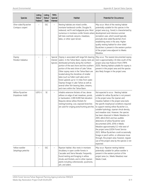| <b>Species</b>                             | Listing<br>Status <sup>1</sup><br>Federal | Listing<br>Status <sup>1</sup><br>State | <b>TRPA</b><br>Special<br>Interest | Habitat                                                                                                                                                                                                                                                                                                                                                                                                                                                                                                                                            | Potential for Occurrence                                                                                                                                                                                                                                                                                                                                                                                                                                                                                                                                                                                                                                                                                                                                                                                                    |
|--------------------------------------------|-------------------------------------------|-----------------------------------------|------------------------------------|----------------------------------------------------------------------------------------------------------------------------------------------------------------------------------------------------------------------------------------------------------------------------------------------------------------------------------------------------------------------------------------------------------------------------------------------------------------------------------------------------------------------------------------------------|-----------------------------------------------------------------------------------------------------------------------------------------------------------------------------------------------------------------------------------------------------------------------------------------------------------------------------------------------------------------------------------------------------------------------------------------------------------------------------------------------------------------------------------------------------------------------------------------------------------------------------------------------------------------------------------------------------------------------------------------------------------------------------------------------------------------------------|
| Olive-sided flycatcher<br>Contopus cooperi | ۳                                         | SSC                                     | $\overline{\phantom{0}}$           | Nesting habitats are mixed conifer,<br>montane hardwood-conifer, Douglas fir,<br>redwood, red fir and lodgepole pine. Most<br>numerous in montane conifer forests where<br>tall trees overlook canyons, meadows,<br>lakes, or other open terrain.                                                                                                                                                                                                                                                                                                  | May occur. Most of the nesting habitat<br>potentially suitable for this species in the<br>project area (e.g., forest) is characterized by<br>development and intensive summer<br>recreation uses, which would typically<br>preclude olive-sided flycatchers from<br>establishing nests in the area. Higher<br>quality nesting habitat for olive-sided<br>flycatchers is present in the western portion<br>of the project area adjacent to Meeks<br>Meadow.                                                                                                                                                                                                                                                                                                                                                                  |
| Osprey<br>Pandion haliaetus                |                                           |                                         | Special<br>Interest<br>Species     | Osprey is associated with large fish-bearing<br>waters. In the Tahoe Basin, osprey nests are<br>distributed primarily along the northern<br>portion of the east shore and the southern<br>portion of the west shore of Lake Tahoe.<br>Other osprey nests in the Tahoe Basin are<br>located along the shorelines of smaller<br>lakes (such as Fallen Leaf Lake) and in<br>forest uplands up to 1.5 miles from water.<br>Ospreys forage in Lake Tahoe as well as<br>several other fish-bearing lakes, streams,<br>and rivers within the Tahoe Basin. | May occur. The nearest documented osprey<br>nest is approximately 2.8 miles south of the<br>project area near Rubicon Point (TRPA<br>2020). Nesting habitat suitable for osprey is<br>present in the project area and the species<br>also likely forages in the project area.                                                                                                                                                                                                                                                                                                                                                                                                                                                                                                                                               |
| Willow flycatcher<br>Empidonax traillii    | USFS-S                                    | <b>SE</b>                               |                                    | Inhabits extensive thickets of low, dense<br>willows on edge of wet meadows, ponds,<br>or backwaters; 2,000-8,000 feet elevation<br>Requires dense willow thickets for<br>nesting/roosting. Low, exposed branches<br>are used for singing posts/hunting perches.                                                                                                                                                                                                                                                                                   | Not expected to occur . Nesting habitat<br>suitable for willow flycatcher is not present<br>in the project area; the riparian and<br>meadow habitat in the project area lacks<br>the specific biophysical conditions required<br>to support nesting willow flycatcher (i.e.,<br>suitable hydrology, riparian shrub density,<br>and meadow size). However, the species<br>has been observed in Meeks Meadow (in<br>2005; eBird 2022) and two audible<br>detections of willow flycatcher were<br>documented (2010, 2019) in Meeks<br>Meadow approximately 0.2-mile west of<br>the project area (USDA Forest Service<br>2021). Willow flycatchers could occasionally<br>forage or perch within, or otherwise move<br>through, the project area; however, regular<br>use of the project area by the species is not<br>expected. |
| Yellow warbler<br>Setophaga petechia       |                                           | SSC                                     |                                    | Riparian habitat. Also nests in montane<br>shrubbery in open conifer forests in<br>Cascades and Sierra Nevada. Frequently<br>found nesting and foraging in willow<br>shrubs and thickets, and in other riparian<br>plants including cottonwoods, sycamores,<br>ash, and alders.                                                                                                                                                                                                                                                                    | May occur. Riparian nesting habitat<br>potentially suitable for yellow warbler is<br>present in the western portion of the<br>project area (i.e., Meeks Meadow) near<br>Meeks Creek.                                                                                                                                                                                                                                                                                                                                                                                                                                                                                                                                                                                                                                        |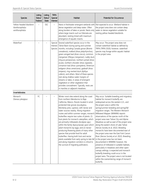| Species                                                     | Listing<br>Status <sup>1</sup><br>Federal | Listing<br>Status <sup>1</sup><br>State | <b>TRPA</b><br>Special<br>Interest | Habitat                                                                                                                                                                                                                                                                                                                                                                                                                                                                                                                                                                                                                                                                                                                                                                                                            | Potential for Occurrence                                                                                                                                                                                                                                                                                                                                                                                                                                                                                                                                                                                                                                                                                                                                                                                                                                                                                                                                                                                            |
|-------------------------------------------------------------|-------------------------------------------|-----------------------------------------|------------------------------------|--------------------------------------------------------------------------------------------------------------------------------------------------------------------------------------------------------------------------------------------------------------------------------------------------------------------------------------------------------------------------------------------------------------------------------------------------------------------------------------------------------------------------------------------------------------------------------------------------------------------------------------------------------------------------------------------------------------------------------------------------------------------------------------------------------------------|---------------------------------------------------------------------------------------------------------------------------------------------------------------------------------------------------------------------------------------------------------------------------------------------------------------------------------------------------------------------------------------------------------------------------------------------------------------------------------------------------------------------------------------------------------------------------------------------------------------------------------------------------------------------------------------------------------------------------------------------------------------------------------------------------------------------------------------------------------------------------------------------------------------------------------------------------------------------------------------------------------------------|
| Yellow-headed blackbird<br>Xanthocephalus<br>xanthocephalus |                                           | SSC                                     | $\qquad \qquad -$                  | Nests in freshwater emergent wetlands with Not expected to occur. Wetland habitat in<br>dense vegetation and deep water. Often<br>along borders of lakes or ponds. Nests only<br>where large insects such as Odonata are<br>abundant, nesting timed with maximum<br>emergence of aquatic insects.                                                                                                                                                                                                                                                                                                                                                                                                                                                                                                                  | the project area does not contain deep<br>water or dense vegetation suitable for<br>nesting yellow-headed blackbirds.                                                                                                                                                                                                                                                                                                                                                                                                                                                                                                                                                                                                                                                                                                                                                                                                                                                                                               |
| Waterfowl                                                   |                                           |                                         | Special<br>Interest<br>Species     | Several waterfowl species occur in the<br>Tahoe Basin during spring and summer<br>months, including Canada goose (Branta<br>canadensis), mallard (Anas platyrhynchos),<br>green-winged teal (Anas crecca), common<br>merganser (Mergus merganser), ruddy duck<br>(Oxyura jamaicensis), northern pintail (Anas<br>acuta), northern shoveler (Anas clypeata),<br>cinnamon teal (Anas cyanoptera), American<br>widgeon (Anas americana), gadwall (Anas<br>strepera), ring-necked duck (Aythya<br>collaris), and others. Most of these species<br>nest along shallow-water margins of<br>streams or lakes, in areas of emergent<br>vegetation or other vegetation that<br>provides concealment. Typically, nests are<br>in marshes or adjacent meadows.                                                                | May occur. The project area does not<br>contain waterfowl habitat as defined by<br>TRPA (TRPA 2020); however, waterfowl<br>species may forage within aquatic habitat<br>in the project area.                                                                                                                                                                                                                                                                                                                                                                                                                                                                                                                                                                                                                                                                                                                                                                                                                        |
| Invertebrates                                               |                                           |                                         |                                    |                                                                                                                                                                                                                                                                                                                                                                                                                                                                                                                                                                                                                                                                                                                                                                                                                    |                                                                                                                                                                                                                                                                                                                                                                                                                                                                                                                                                                                                                                                                                                                                                                                                                                                                                                                                                                                                                     |
| Monarch<br>Danaus plexippus                                 | FC                                        |                                         |                                    | Winter roost sites extend along the coast<br>from northern Mendocino to Baja<br>California, Mexico. Roosts located in wind-<br>protected tree groves (eucalyptus,<br>Monterey pine, cypress), with nectar and<br>water sources nearby. Along migration<br>routes and within summer ranges, monarch<br>butterflies require two suites of plants: (1)<br>host plants for monarch caterpillars, which<br>are primarily milkweeds (Asclepias spp.)<br>within the family Apocynaceae upon which<br>adult monarchs lay eggs; and (2) nectar-<br>producing flowering plants of many other<br>species that provide food for adult<br>butterflies. Having both host and nectar<br>plants available from early spring to late fall<br>and along migration corridors is critical to<br>the survival of migrating pollinators. | May occur. Suitable breeding and migratory<br>habitat for monarch butterfly are<br>widespread across the western U.S., and<br>the project area is within the<br>spring/summer breeding and spring/fall<br>migration ranges. The Western Monarch<br>Milkweed Mapper (WMMM) reports<br>observations of the species north of the<br>project area near Tahoe City and Alpine<br>Meadows as well as east of the project area<br>along the eastern shore of Lake Tahoe<br>(Xerces Society et al. 2022). Breeding<br>monarchs have been documented east of<br>the project area near the East Fork Carson<br>River (Xerces Society et al. 2022). Breeding<br>in the project area has not been<br>documented in WMMM; however, the<br>presence of milkweed in suitable habitats,<br>particularly in meadows and other open-<br>canopy settings, is expected and monarch<br>butterfly breeding could occur in the<br>project aera. The project area is not located<br>within the overwintering range of monarch<br>butterfly. |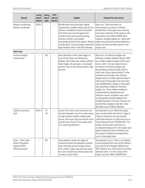| <b>Species</b>                                                                  | Listing<br>Status <sup>1</sup><br>Federal | Listing<br>Status <sup>1</sup><br><b>State</b> | <b>TRPA</b><br>Special<br>Interest | Habitat                                                                                                                                                                                                                                                                                                                                                                                                | <b>Potential for Occurrence</b>                                                                                                                                                                                                                                                                                                                                                                                                                                                                                                                                                                                                                                                                                                                                                                                           |
|---------------------------------------------------------------------------------|-------------------------------------------|------------------------------------------------|------------------------------------|--------------------------------------------------------------------------------------------------------------------------------------------------------------------------------------------------------------------------------------------------------------------------------------------------------------------------------------------------------------------------------------------------------|---------------------------------------------------------------------------------------------------------------------------------------------------------------------------------------------------------------------------------------------------------------------------------------------------------------------------------------------------------------------------------------------------------------------------------------------------------------------------------------------------------------------------------------------------------------------------------------------------------------------------------------------------------------------------------------------------------------------------------------------------------------------------------------------------------------------------|
| Western bumble bee<br>Bombus occidentalis                                       | USFS-S                                    |                                                | $\overline{\phantom{0}}$           | Bumble bees have three basic habitat<br>requirements: suitable nesting sites for the<br>colonies, availability of nectar and pollen<br>from floral resources throughout the<br>duration of the colony period (spring,<br>summer, and fall), and suitable<br>overwintering sites for the queens. Western<br>bumble bee is currently largely restricted to<br>high elevation areas in the Sierra Nevada. | May occur. There have been no<br>documented occurrences of western<br>bumble bee in the project area, and only<br>one known collection of the species in the<br>Tahoe Basin since 2000 (CNDDB 2021).<br>However, foraging habitat (i.e., nectar and<br>pollen resources) and nesting habitat (e.g.,<br>rodent burrows) are likely present in the<br>project area.                                                                                                                                                                                                                                                                                                                                                                                                                                                         |
| Mammals                                                                         |                                           |                                                |                                    |                                                                                                                                                                                                                                                                                                                                                                                                        |                                                                                                                                                                                                                                                                                                                                                                                                                                                                                                                                                                                                                                                                                                                                                                                                                           |
| American badger<br>Taxidea taxus                                                |                                           | SSC                                            | $\overline{\phantom{0}}$           | Most abundant in drier open stages of<br>most shrub, forest, and herbaceous<br>habitats, with friable soils. Needs sufficient<br>food, friable soils and open, uncultivated<br>ground. Preys on burrowing rodents. Digs<br>burrows.                                                                                                                                                                    | May occur. An American badger was<br>detected on Meeks Meadow Road in 2003<br>by a LTBMU wildlife biologist (USFW, pers.<br>comm., 2021). The next nearest known<br>occurrence of American badger was<br>documented recently (October 2021) in<br>South Lake Tahoe, approximately 11 miles<br>southeast of the project area. Another<br>badger record is located approximately 15<br>miles south of the project area near Echo<br>Lake (CNDDB 2021). Habitat in the project<br>area potentially suitable for American<br>badgers (i.e., forest, Meeks meadow) is<br>characterized by development and<br>intensive summer recreation uses, which<br>would typically preclude badgers from<br>establishing dens in the area. However, it is<br>possible that a badger could den in less<br>disturbed areas of Meeks Meadow. |
| California wolverine<br>Gulo                                                    | USFS-S                                    | ST<br>FP                                       |                                    | Found in the north coast mountains and<br>the Sierra Nevada. Found in a wide variety<br>of high elevation habitats. Needs water<br>source. Uses caves, logs, burrows for cover<br>and den area. Hunts in more open areas.<br>Can travel long distances.                                                                                                                                                | Not expected to occur. While the project<br>area is located within the historic range of<br>California wolverine, the only recently<br>confirmed wolverine in California occurs in<br>Tahoe National Forest (CNDDB 2021). The<br>location of this known wolverine is a<br>considerable distance from the project area<br>(approximately 28 miles northwest), and<br>this species is therefore not expected to<br>occur in the project area.                                                                                                                                                                                                                                                                                                                                                                               |
| Fisher - West Coast<br>Distinct Population<br>Segment (DPS)<br>Pekania pennanti |                                           | SSC                                            |                                    | Intermediate to large-tree stages of<br>coniferous forests and deciduous-riparian<br>areas with high percent canopy closure.<br>Uses cavities, snags, logs and rocky areas<br>for cover and denning. Needs large areas<br>of mature, dense forest.                                                                                                                                                     | Not expected to occur. Fisher is considered<br>to be extirpated from most of the northern<br>and central Sierra Nevada (Zielinski et al.<br>1995; Sweitzer et al. 2015) and has not been<br>detected within or in the vicinity of the<br>project since the 1980s (CNDDB 2021).                                                                                                                                                                                                                                                                                                                                                                                                                                                                                                                                            |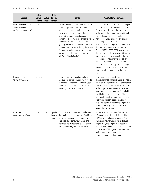| <b>Species</b>                                                          | Listing<br>Status <sup>1</sup><br>Federal | Listing<br>Status <sup>1</sup><br>State | <b>TRPA</b><br>Special<br>Interest | Habitat                                                                                                                                                                                                                                                                                                                                                                                                                                                                                                                | Potential for Occurrence                                                                                                                                                                                                                                                                                                                                                                                                                                                                                                                                                                                                                                                                                                                                                                    |
|-------------------------------------------------------------------------|-------------------------------------------|-----------------------------------------|------------------------------------|------------------------------------------------------------------------------------------------------------------------------------------------------------------------------------------------------------------------------------------------------------------------------------------------------------------------------------------------------------------------------------------------------------------------------------------------------------------------------------------------------------------------|---------------------------------------------------------------------------------------------------------------------------------------------------------------------------------------------------------------------------------------------------------------------------------------------------------------------------------------------------------------------------------------------------------------------------------------------------------------------------------------------------------------------------------------------------------------------------------------------------------------------------------------------------------------------------------------------------------------------------------------------------------------------------------------------|
| Sierra Nevada red fox -<br>Sierra Nevada DPS<br>(Vulpes vulpes necator) | FE                                        | <b>ST</b>                               | $\overline{a}$                     | Suitable habitat for Sierra Nevada red fox<br>includes high-elevation alpine and<br>subalpine habitats, including meadows,<br>forest (e.g., subalpine conifer, lodgepole<br>pine, red fir, aspen, mixed conifer,<br>ponderosa pine), montane chaparral, talus,<br>and fell fields. Sierra Nevada red fox<br>typically moves from high elevation areas<br>to lower elevation areas during the winter.<br>Dens are typically found in rock outcrops,<br>hollow logs and stumps, and burrows<br>(USFWS 2015, 2020, 2021). | Not expected to occur. The historic range of<br>Sierra Nevada red fox included the Lake<br>Tahoe region. However, the current range<br>of the species has contracted significantly<br>from its historic range and no longer<br>includes the Lake Tahoe region; the only<br>extant population of this DPS within its<br>historic or current range is located south of<br>the Tahoe region near Sonora Pass, Mono<br>County (USFWS 2020, 2021). Accordingly,<br>the species is not known or considered to<br>presently occur in or adjacent to the Lake<br>Tahoe region, including the project area.<br>Additionally, where the species occurs,<br>Sierra Nevada red fox typically uses high-<br>elevation alpine and subalpine habitats<br>above the elevation range of the project<br>area. |
| Fringed myotis<br>Myotis thysanodes                                     | USFS-S                                    |                                         |                                    | In a wide variety of habitats, optimal<br>habitats are pinyon-juniper, valley foothill<br>hardwood and hardwood-conifer. Uses<br>caves, mines, buildings or crevices for<br>maternity colonies and roosts.                                                                                                                                                                                                                                                                                                             | May occur. Fringed myotis has been<br>detected in Meeks Meadow, approximately<br>0.1-mile west-northwest of the project area<br>(LBTMU 2021). The Meeks Meadow portion<br>of the project area contains some large<br>snags and trees that may provide suitable<br>roost habitat for fringed myotis. The bridge<br>over Meeks Creek does not have features<br>that would support critical roosting for<br>bats. Facilities buildings in the project area<br>east of SR 89 may provide additional<br>potential roost habitat.                                                                                                                                                                                                                                                                 |
| Mule deer<br>Odocoileus hemionus                                        |                                           |                                         | Special                            | Common to abundant with a widespread<br>Interest distribution throughout most of California.<br>Species Occur along major river corridors, in<br>scattered desert mountain areas, and<br>intermediate successional stages of most<br>forest, woodland, and brush habitats.                                                                                                                                                                                                                                             | Not expected to occur (fawning or core<br>migration). Mule deer is designated by<br>TRPA as a special interest species. While<br>mule deer may forage or move through the<br>project area, the project area does not<br>contain deer fawning habitat as defined by<br>TRPA (TRPA 2022; Figure 3.4-3); and the<br>project area is not positioned within an<br>important deer migration route.                                                                                                                                                                                                                                                                                                                                                                                                |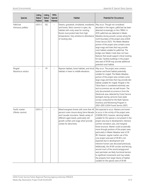| Species                            | Listing<br>Status <sup>1</sup><br>Federal | Listing<br>Status <sup>1</sup><br><b>State</b> | <b>TRPA</b><br>Special<br>Interest | Habitat                                                                                                                                                                                                                                              | Potential for Occurrence                                                                                                                                                                                                                                                                                                                                                                                                                                                                                                                                                                                                                                                                                                                                                                                                                                               |
|------------------------------------|-------------------------------------------|------------------------------------------------|------------------------------------|------------------------------------------------------------------------------------------------------------------------------------------------------------------------------------------------------------------------------------------------------|------------------------------------------------------------------------------------------------------------------------------------------------------------------------------------------------------------------------------------------------------------------------------------------------------------------------------------------------------------------------------------------------------------------------------------------------------------------------------------------------------------------------------------------------------------------------------------------------------------------------------------------------------------------------------------------------------------------------------------------------------------------------------------------------------------------------------------------------------------------------|
| Pallid bat<br>Antrozous pallidus   | USFS-S                                    | SSC                                            | $\overline{\phantom{0}}$           | Deserts, grasslands, shrublands, woodlands<br>and forests. Most common in open, dry<br>habitats with rocky areas for roosting.<br>Roosts must protect bats from high<br>temperatures. Very sensitive to disturbance<br>of roosting sites.            | May occur. Though not considered<br>abundant in the region, pallid bat has been<br>detected increasingly on the LTBMU. In<br>2019, pallid bat was detected in Meeks<br>Meadow during acoustic surveys along the<br>north boundary of the project area (USDA<br>Forest Service 2021). The Meeks Meadow<br>portion of the project area contains some<br>large snags and trees that may provide<br>roost habitat suitable for pallid bat. The<br>bridge over Meeks Creek does not have<br>features that would support critical roosting<br>for bats. Facilities buildings in the project<br>area east of SR 89 may provide additional<br>potential roost habitat.                                                                                                                                                                                                         |
| Ringtail<br>Bassariscus astutus    |                                           | FP                                             |                                    | Riparian habitats, forest habitats, and shrub<br>habitats in lower to middle elevations.                                                                                                                                                             | May occur. The project area contains<br>riparian and forest habitat potentially<br>suitable for ringtail. The Meeks Meadow<br>portion of the project area contains some<br>large snags and trees that may provide den<br>habitat suitable for ringtail. Ringtail in the<br>Tahoe Basin is considered extremely rare,<br>and occurrences are not well-known. The<br>only documented occurrence is from the<br>Glenbrook area, detected by Forest Service<br>biologists during carnivore track-plate<br>surveys conducted for the Multi-Species<br>Inventory and Monitoring Program in<br>2002-2005 (USDA Forest Service 2007).                                                                                                                                                                                                                                          |
| Pacific marten<br>(Martes caurina) | USFS-S                                    |                                                |                                    | Mixed evergreen forests with more than 40<br>percent crown closure along Sierra Nevada<br>and Cascade mountains. Needs variety of<br>different-aged stands, particularly old-<br>growth conifers and snags which provide<br>cavities for dens/nests. | Not expected to occur. Martens are known<br>to occur in the vicinity of the project area<br>(CNDDB 2021); however, denning habitat<br>suitable for this species is not present in the<br>project area due to development, intensive<br>summer recreation uses, and marginal<br>forest structure. Marten could occasionally<br>move through portions of the project area,<br>particularly in Meeks Meadow west of SR<br>89. However, regular marten use of the<br>core project area east of SR 89 is not<br>expected due to development and<br>intensive human uses discussed previously.<br>Additionally, the SR 89 corridor and fencing<br>around much of the resort/campground<br>west perimeter are likely functional barriers<br>to significant movements and may isolate<br>the property from larger blocks of habitat<br>suitable for the species west of SR 89. |